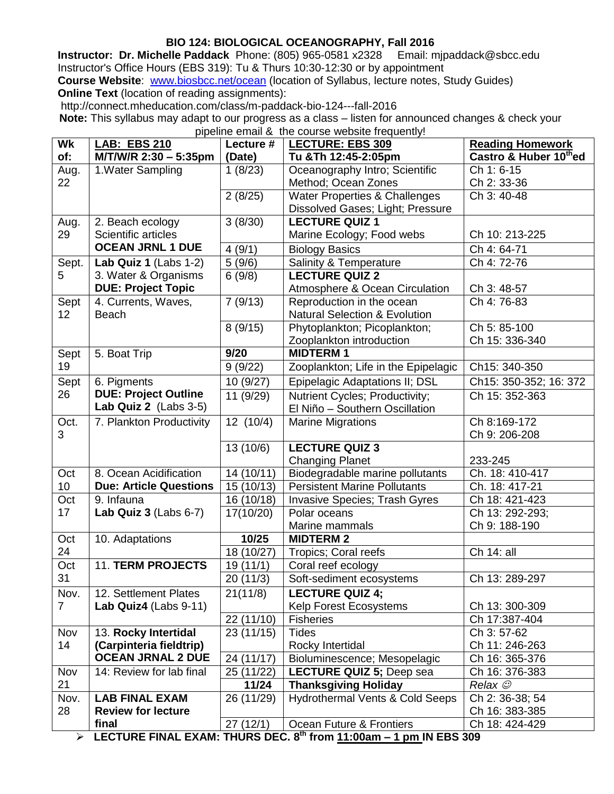# **BIO 124: BIOLOGICAL OCEANOGRAPHY, Fall 2016**

**Instructor: Dr. Michelle Paddack** Phone: (805) 965-0581 x2328 Email: mjpaddack@sbcc.edu Instructor's Office Hours (EBS 319): Tu & Thurs 10:30-12:30 or by appointment **Course Website:** [www.biosbcc.net/ocean](http://www.biosbcc.net/ocean) (location of Syllabus, lecture notes, Study Guides) **Online Text** (location of reading assignments):

http://connect.mheducation.com/class/m-paddack-bio-124---fall-2016

**Note:** This syllabus may adapt to our progress as a class – listen for announced changes & check your pipeline email & the course website frequently!

| Wk              | <b>LAB: EBS 210</b>           | Lecture #             | <b>LECTURE: EBS 309</b>                                                 | <b>Reading Homework</b> |
|-----------------|-------------------------------|-----------------------|-------------------------------------------------------------------------|-------------------------|
| of:             | M/T/W/R 2:30 - 5:35pm         | (Date)                | Tu & Th 12:45-2:05pm                                                    | Castro & Huber 10thed   |
| Aug.            | 1. Water Sampling             | 1(8/23)               | Oceanography Intro; Scientific                                          | Ch 1: 6-15              |
| 22              |                               |                       | Method; Ocean Zones                                                     | Ch 2: 33-36             |
|                 |                               | 2(8/25)               | <b>Water Properties &amp; Challenges</b>                                | Ch 3: 40-48             |
|                 |                               |                       | Dissolved Gases; Light; Pressure                                        |                         |
| Aug.            | 2. Beach ecology              | 3(8/30)               | <b>LECTURE QUIZ 1</b>                                                   |                         |
| 29              | Scientific articles           |                       | Marine Ecology; Food webs                                               | Ch 10: 213-225          |
|                 | <b>OCEAN JRNL 1 DUE</b>       | 4(9/1)                | <b>Biology Basics</b>                                                   | Ch 4: 64-71             |
| Sept.           | Lab Quiz 1 (Labs 1-2)         | 5(9/6)                | Salinity & Temperature                                                  | Ch 4: 72-76             |
| 5               | 3. Water & Organisms          | 6(9/8)                | <b>LECTURE QUIZ 2</b>                                                   |                         |
|                 | <b>DUE: Project Topic</b>     |                       | Atmosphere & Ocean Circulation                                          | Ch 3: 48-57             |
| Sept            | 4. Currents, Waves,           | 7(9/13)               | Reproduction in the ocean                                               | Ch 4: 76-83             |
| 12 <sub>2</sub> | <b>Beach</b>                  |                       | <b>Natural Selection &amp; Evolution</b>                                |                         |
|                 |                               | 8(9/15)               | Phytoplankton; Picoplankton;                                            | Ch 5: 85-100            |
|                 |                               |                       | Zooplankton introduction                                                | Ch 15: 336-340          |
| Sept            | 5. Boat Trip                  | 9/20                  | <b>MIDTERM1</b>                                                         |                         |
| 19              |                               | 9(9/22)               | Zooplankton; Life in the Epipelagic                                     | Ch15: 340-350           |
| Sept            | 6. Pigments                   | 10 (9/27)             | Epipelagic Adaptations II; DSL                                          | Ch15: 350-352; 16: 372  |
| 26              | <b>DUE: Project Outline</b>   | 11 (9/29)             | Nutrient Cycles; Productivity;                                          | Ch 15: 352-363          |
|                 | Lab Quiz 2 (Labs 3-5)         |                       | El Niño - Southern Oscillation                                          |                         |
| Oct.            | 7. Plankton Productivity      | 12(10/4)              | <b>Marine Migrations</b>                                                | Ch 8:169-172            |
| 3               |                               |                       |                                                                         | Ch 9: 206-208           |
|                 |                               | 13 (10/6)             | <b>LECTURE QUIZ 3</b>                                                   |                         |
|                 |                               |                       | <b>Changing Planet</b>                                                  | 233-245                 |
| Oct             | 8. Ocean Acidification        | 14 (10/11)            | Biodegradable marine pollutants                                         | Ch. 18: 410-417         |
| 10 <sup>1</sup> | <b>Due: Article Questions</b> | 15 (10/13)            | <b>Persistent Marine Pollutants</b>                                     | Ch. 18: 417-21          |
| Oct             | 9. Infauna                    | 16 (10/18)            | Invasive Species; Trash Gyres                                           | Ch 18: 421-423          |
| 17              | Lab Quiz $3$ (Labs $6-7$ )    | 17(10/20)             | Polar oceans                                                            | Ch 13: 292-293;         |
|                 |                               |                       | Marine mammals                                                          | Ch 9: 188-190           |
| Oct             | 10. Adaptations               | 10/25                 | <b>MIDTERM2</b>                                                         |                         |
| 24              |                               | 18 (10/27)            | <b>Tropics</b> ; Coral reefs                                            | Ch 14: all              |
| Oct             | <b>11. TERM PROJECTS</b>      | 19(11/1)              | Coral reef ecology                                                      |                         |
| 31              |                               | 20 (11/3)             | Soft-sediment ecosystems                                                | Ch 13: 289-297          |
| Nov.            | 12. Settlement Plates         | 21(11/8)              | <b>LECTURE QUIZ 4;</b>                                                  |                         |
| $\overline{7}$  | Lab Quiz4 (Labs 9-11)         |                       | Kelp Forest Ecosystems                                                  | Ch 13: 300-309          |
|                 |                               | 22 (11/10)            | <b>Fisheries</b>                                                        | Ch 17:387-404           |
| Nov             | 13. Rocky Intertidal          | 23 (11/15)            | <b>Tides</b>                                                            | Ch 3: 57-62             |
| 14              | (Carpinteria fieldtrip)       |                       | Rocky Intertidal                                                        | Ch 11: 246-263          |
|                 | <b>OCEAN JRNAL 2 DUE</b>      | 24 (11/17)            | Bioluminescence; Mesopelagic                                            | Ch 16: 365-376          |
| Nov             | 14: Review for lab final      | 25 (11/22)            | <b>LECTURE QUIZ 5; Deep sea</b>                                         | Ch 16: 376-383          |
| 21              |                               | 11/24                 | <b>Thanksgiving Holiday</b>                                             | Relax $\mathcal{O}$     |
| Nov.            | <b>LAB FINAL EXAM</b>         | 26 (11/29)            | Hydrothermal Vents & Cold Seeps                                         | Ch 2: 36-38; 54         |
| 28              | <b>Review for lecture</b>     |                       |                                                                         | Ch 16: 383-385          |
|                 | final                         | 27(12/1)<br>TUIDO DEO | Ocean Future & Frontiers<br>$\theta$ <sup>th</sup><br>$H$ $F$ $R$ $200$ | Ch 18: 424-429          |

**LECTURE FINAL EXAM: THURS DEC. 8 th from 11:00am – 1 pm IN EBS 309**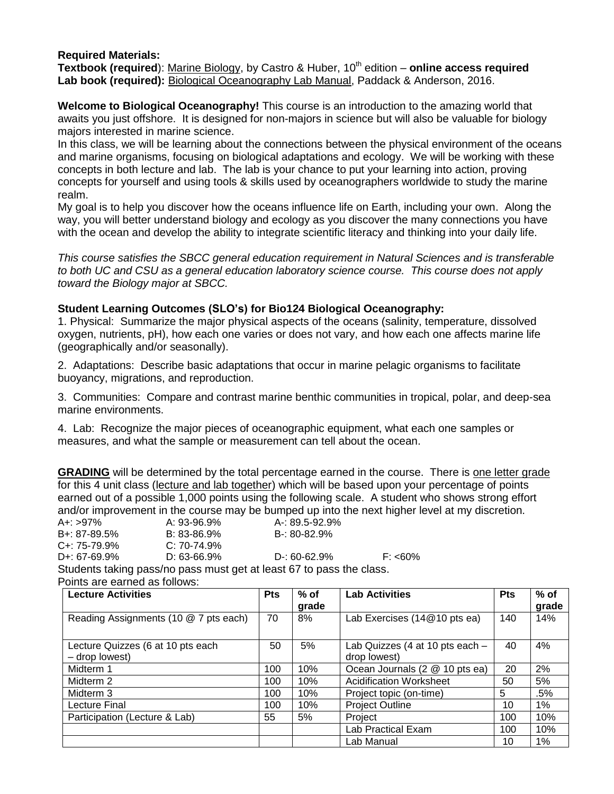## **Required Materials:**

**Textbook (required):** Marine Biology, by Castro & Huber, 10<sup>th</sup> edition – **online access required Lab book (required):** Biological Oceanography Lab Manual, Paddack & Anderson, 2016.

**Welcome to Biological Oceanography!** This course is an introduction to the amazing world that awaits you just offshore. It is designed for non-majors in science but will also be valuable for biology majors interested in marine science.

In this class, we will be learning about the connections between the physical environment of the oceans and marine organisms, focusing on biological adaptations and ecology. We will be working with these concepts in both lecture and lab. The lab is your chance to put your learning into action, proving concepts for yourself and using tools & skills used by oceanographers worldwide to study the marine realm.

My goal is to help you discover how the oceans influence life on Earth, including your own. Along the way, you will better understand biology and ecology as you discover the many connections you have with the ocean and develop the ability to integrate scientific literacy and thinking into your daily life.

*This course satisfies the SBCC general education requirement in Natural Sciences and is transferable to both UC and CSU as a general education laboratory science course. This course does not apply toward the Biology major at SBCC.*

#### **Student Learning Outcomes (SLO's) for Bio124 Biological Oceanography:**

1. Physical: Summarize the major physical aspects of the oceans (salinity, temperature, dissolved oxygen, nutrients, pH), how each one varies or does not vary, and how each one affects marine life (geographically and/or seasonally).

2. Adaptations: Describe basic adaptations that occur in marine pelagic organisms to facilitate buoyancy, migrations, and reproduction.

3. Communities: Compare and contrast marine benthic communities in tropical, polar, and deep-sea marine environments.

4. Lab: Recognize the major pieces of oceanographic equipment, what each one samples or measures, and what the sample or measurement can tell about the ocean.

**GRADING** will be determined by the total percentage earned in the course. There is one letter grade for this 4 unit class (lecture and lab together) which will be based upon your percentage of points earned out of a possible 1,000 points using the following scale. A student who shows strong effort and/or improvement in the course may be bumped up into the next higher level at my discretion. A+: >97% A: 93-96.9% A-: 89.5-92.9% B+: 87-89.5% B: 83-86.9% B-: 80-82.9% C+: 75-79.9% C: 70-74.9%

D+: 67-69.9% D: 63-66.9% D-: 60-62.9% F: <60% Students taking pass/no pass must get at least 67 to pass the class.

Points are earned as follows:

| <b>Lecture Activities</b>                           | <b>Pts</b> | $%$ of<br>grade | <b>Lab Activities</b>                           | <b>Pts</b> | $%$ of<br>grade |
|-----------------------------------------------------|------------|-----------------|-------------------------------------------------|------------|-----------------|
| Reading Assignments (10 @ 7 pts each)               |            | 8%              | Lab Exercises (14@10 pts ea)                    | 140        | 14%             |
| Lecture Quizzes (6 at 10 pts each<br>- drop lowest) |            | 5%              | Lab Quizzes (4 at 10 pts each -<br>drop lowest) | 40         | 4%              |
| Midterm 1                                           |            | 10%             | Ocean Journals (2 @ 10 pts ea)                  | 20         | 2%              |
| Midterm 2                                           | 100        | 10%             | <b>Acidification Worksheet</b>                  | 50         | 5%              |
| Midterm 3                                           | 100        | 10%             | Project topic (on-time)                         | 5          | .5%             |
| Lecture Final                                       | 100        | 10%             | <b>Project Outline</b>                          | 10         | $1\%$           |
| Participation (Lecture & Lab)                       | 55         | 5%              | Project                                         | 100        | 10%             |
|                                                     |            |                 | Lab Practical Exam                              | 100        | 10%             |
|                                                     |            |                 | Lab Manual                                      | 10         | 1%              |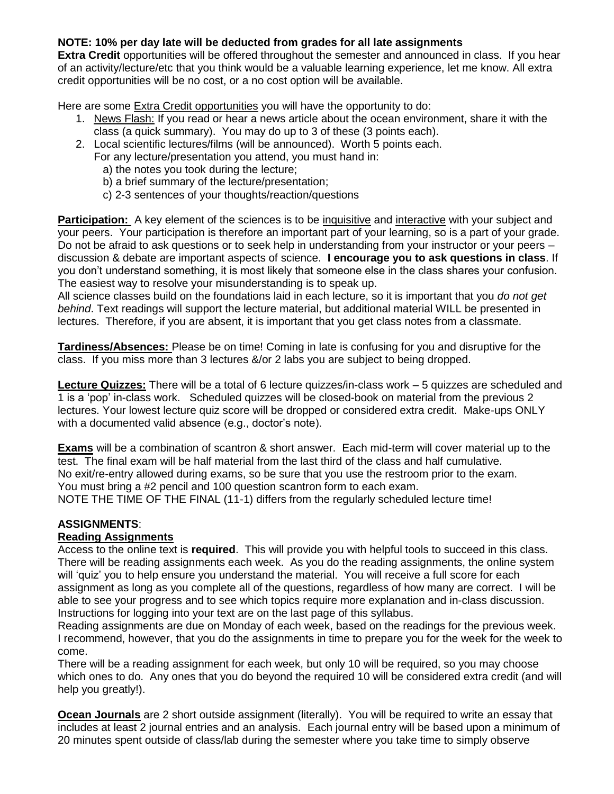# **NOTE: 10% per day late will be deducted from grades for all late assignments**

**Extra Credit** opportunities will be offered throughout the semester and announced in class. If you hear of an activity/lecture/etc that you think would be a valuable learning experience, let me know. All extra credit opportunities will be no cost, or a no cost option will be available.

Here are some Extra Credit opportunities you will have the opportunity to do:

- 1. News Flash: If you read or hear a news article about the ocean environment, share it with the class (a quick summary). You may do up to 3 of these (3 points each).
- 2. Local scientific lectures/films (will be announced). Worth 5 points each.
	- For any lecture/presentation you attend, you must hand in:
		- a) the notes you took during the lecture;
		- b) a brief summary of the lecture/presentation;
		- c) 2-3 sentences of your thoughts/reaction/questions

**Participation:** A key element of the sciences is to be inquisitive and interactive with your subject and your peers. Your participation is therefore an important part of your learning, so is a part of your grade. Do not be afraid to ask questions or to seek help in understanding from your instructor or your peers – discussion & debate are important aspects of science. **I encourage you to ask questions in class**. If you don't understand something, it is most likely that someone else in the class shares your confusion. The easiest way to resolve your misunderstanding is to speak up.

All science classes build on the foundations laid in each lecture, so it is important that you *do not get behind*. Text readings will support the lecture material, but additional material WILL be presented in lectures. Therefore, if you are absent, it is important that you get class notes from a classmate.

**Tardiness/Absences:** Please be on time! Coming in late is confusing for you and disruptive for the class. If you miss more than 3 lectures &/or 2 labs you are subject to being dropped.

**Lecture Quizzes:** There will be a total of 6 lecture quizzes/in-class work – 5 quizzes are scheduled and 1 is a 'pop' in-class work. Scheduled quizzes will be closed-book on material from the previous 2 lectures. Your lowest lecture quiz score will be dropped or considered extra credit. Make-ups ONLY with a documented valid absence (e.g., doctor's note).

**Exams** will be a combination of scantron & short answer. Each mid-term will cover material up to the test. The final exam will be half material from the last third of the class and half cumulative. No exit/re-entry allowed during exams, so be sure that you use the restroom prior to the exam. You must bring a #2 pencil and 100 question scantron form to each exam. NOTE THE TIME OF THE FINAL (11-1) differs from the regularly scheduled lecture time!

## **ASSIGNMENTS**:

## **Reading Assignments**

Access to the online text is **required**. This will provide you with helpful tools to succeed in this class. There will be reading assignments each week. As you do the reading assignments, the online system will 'quiz' you to help ensure you understand the material. You will receive a full score for each assignment as long as you complete all of the questions, regardless of how many are correct. I will be able to see your progress and to see which topics require more explanation and in-class discussion. Instructions for logging into your text are on the last page of this syllabus.

Reading assignments are due on Monday of each week, based on the readings for the previous week. I recommend, however, that you do the assignments in time to prepare you for the week for the week to come.

There will be a reading assignment for each week, but only 10 will be required, so you may choose which ones to do. Any ones that you do beyond the required 10 will be considered extra credit (and will help you greatly!).

**Ocean Journals** are 2 short outside assignment (literally). You will be required to write an essay that includes at least 2 journal entries and an analysis. Each journal entry will be based upon a minimum of 20 minutes spent outside of class/lab during the semester where you take time to simply observe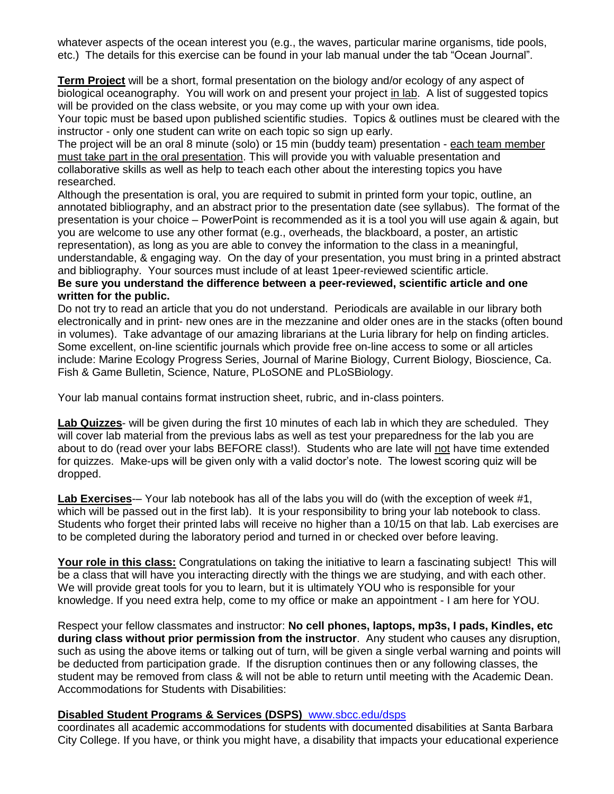whatever aspects of the ocean interest you (e.g., the waves, particular marine organisms, tide pools, etc.) The details for this exercise can be found in your lab manual under the tab "Ocean Journal".

**Term Project** will be a short, formal presentation on the biology and/or ecology of any aspect of biological oceanography. You will work on and present your project in lab. A list of suggested topics will be provided on the class website, or you may come up with your own idea.

Your topic must be based upon published scientific studies. Topics & outlines must be cleared with the instructor - only one student can write on each topic so sign up early.

The project will be an oral 8 minute (solo) or 15 min (buddy team) presentation - each team member must take part in the oral presentation. This will provide you with valuable presentation and collaborative skills as well as help to teach each other about the interesting topics you have researched.

Although the presentation is oral, you are required to submit in printed form your topic, outline, an annotated bibliography, and an abstract prior to the presentation date (see syllabus). The format of the presentation is your choice – PowerPoint is recommended as it is a tool you will use again & again, but you are welcome to use any other format (e.g., overheads, the blackboard, a poster, an artistic representation), as long as you are able to convey the information to the class in a meaningful, understandable, & engaging way. On the day of your presentation, you must bring in a printed abstract and bibliography. Your sources must include of at least 1peer-reviewed scientific article.

#### **Be sure you understand the difference between a peer-reviewed, scientific article and one written for the public.**

Do not try to read an article that you do not understand. Periodicals are available in our library both electronically and in print- new ones are in the mezzanine and older ones are in the stacks (often bound in volumes). Take advantage of our amazing librarians at the Luria library for help on finding articles. Some excellent, on-line scientific journals which provide free on-line access to some or all articles include: Marine Ecology Progress Series, Journal of Marine Biology, Current Biology, Bioscience, Ca. Fish & Game Bulletin, Science, Nature, PLoSONE and PLoSBiology.

Your lab manual contains format instruction sheet, rubric, and in-class pointers.

**Lab Quizzes**- will be given during the first 10 minutes of each lab in which they are scheduled. They will cover lab material from the previous labs as well as test your preparedness for the lab you are about to do (read over your labs BEFORE class!). Students who are late will not have time extended for quizzes. Make-ups will be given only with a valid doctor's note. The lowest scoring quiz will be dropped.

**Lab Exercises**-– Your lab notebook has all of the labs you will do (with the exception of week #1, which will be passed out in the first lab). It is your responsibility to bring your lab notebook to class. Students who forget their printed labs will receive no higher than a 10/15 on that lab. Lab exercises are to be completed during the laboratory period and turned in or checked over before leaving.

Your role in this class: Congratulations on taking the initiative to learn a fascinating subject! This will be a class that will have you interacting directly with the things we are studying, and with each other. We will provide great tools for you to learn, but it is ultimately YOU who is responsible for your knowledge. If you need extra help, come to my office or make an appointment - I am here for YOU.

Respect your fellow classmates and instructor: **No cell phones, laptops, mp3s, I pads, Kindles, etc during class without prior permission from the instructor**. Any student who causes any disruption, such as using the above items or talking out of turn, will be given a single verbal warning and points will be deducted from participation grade. If the disruption continues then or any following classes, the student may be removed from class & will not be able to return until meeting with the Academic Dean. Accommodations for Students with Disabilities:

## **Disabled Student Programs & Services (DSPS)** [www.sbcc.edu/dsps](http://www.sbcc.edu/dsps)

coordinates all academic accommodations for students with documented disabilities at Santa Barbara City College. If you have, or think you might have, a disability that impacts your educational experience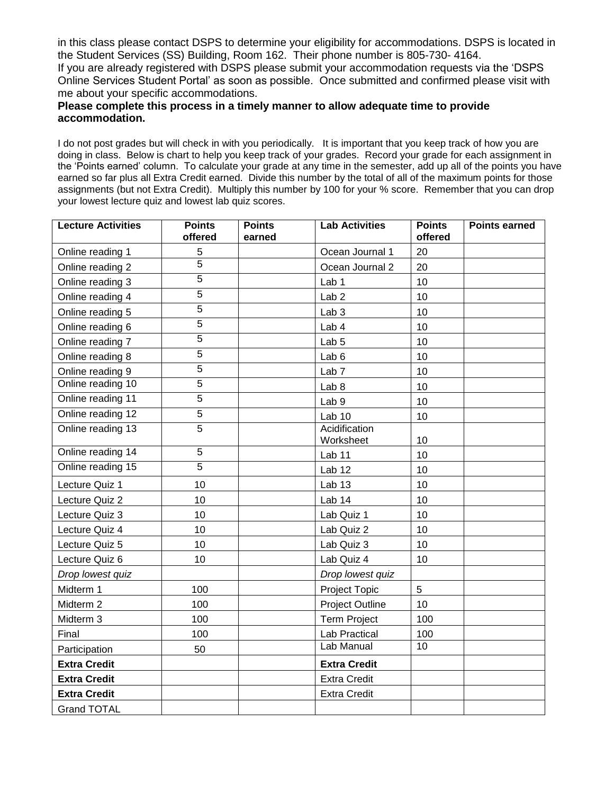in this class please contact DSPS to determine your eligibility for accommodations. DSPS is located in the Student Services (SS) Building, Room 162. Their phone number is 805-730- 4164. If you are already registered with DSPS please submit your accommodation requests via the 'DSPS Online Services Student Portal' as soon as possible. Once submitted and confirmed please visit with me about your specific accommodations.

#### **Please complete this process in a timely manner to allow adequate time to provide accommodation.**

I do not post grades but will check in with you periodically. It is important that you keep track of how you are doing in class. Below is chart to help you keep track of your grades. Record your grade for each assignment in the 'Points earned' column. To calculate your grade at any time in the semester, add up all of the points you have earned so far plus all Extra Credit earned. Divide this number by the total of all of the maximum points for those assignments (but not Extra Credit). Multiply this number by 100 for your % score. Remember that you can drop your lowest lecture quiz and lowest lab quiz scores.

| <b>Lecture Activities</b> | <b>Points</b><br>offered | <b>Points</b><br>earned | <b>Lab Activities</b>      | <b>Points</b><br>offered | <b>Points earned</b> |
|---------------------------|--------------------------|-------------------------|----------------------------|--------------------------|----------------------|
| Online reading 1          | 5                        |                         | Ocean Journal 1            | 20                       |                      |
| Online reading 2          | $\overline{5}$           |                         | Ocean Journal 2            | 20                       |                      |
| Online reading 3          | $\overline{5}$           |                         | Lab <sub>1</sub>           | 10                       |                      |
| Online reading 4          | 5                        |                         | Lab <sub>2</sub>           | 10                       |                      |
| Online reading 5          | 5                        |                         | Lab <sub>3</sub>           | 10                       |                      |
| Online reading 6          | $\overline{5}$           |                         | Lab 4                      | 10                       |                      |
| Online reading 7          | $\overline{5}$           |                         | Lab <sub>5</sub>           | 10                       |                      |
| Online reading 8          | 5                        |                         | Lab <sub>6</sub>           | 10                       |                      |
| Online reading 9          | $\overline{5}$           |                         | Lab <sub>7</sub>           | 10                       |                      |
| Online reading 10         | 5                        |                         | Lab <sub>8</sub>           | 10                       |                      |
| Online reading 11         | 5                        |                         | Lab <sub>9</sub>           | 10                       |                      |
| Online reading 12         | $\overline{5}$           |                         | Lab <sub>10</sub>          | 10                       |                      |
| Online reading 13         | $\overline{5}$           |                         | Acidification<br>Worksheet | 10                       |                      |
| Online reading 14         | $\overline{5}$           |                         | Lab <sub>11</sub>          | 10                       |                      |
| Online reading 15         | 5                        |                         | Lab <sub>12</sub>          | 10                       |                      |
| Lecture Quiz 1            | 10                       |                         | Lab <sub>13</sub>          | 10                       |                      |
| Lecture Quiz 2            | 10                       |                         | Lab <sub>14</sub>          | 10                       |                      |
| Lecture Quiz 3            | 10                       |                         | Lab Quiz 1                 | 10                       |                      |
| Lecture Quiz 4            | 10                       |                         | Lab Quiz 2                 | 10                       |                      |
| Lecture Quiz 5            | 10                       |                         | Lab Quiz 3                 | 10                       |                      |
| Lecture Quiz 6            | 10                       |                         | Lab Quiz 4                 | 10                       |                      |
| Drop lowest quiz          |                          |                         | Drop lowest quiz           |                          |                      |
| Midterm 1                 | 100                      |                         | <b>Project Topic</b>       | 5                        |                      |
| Midterm 2                 | 100                      |                         | Project Outline            | 10                       |                      |
| Midterm 3                 | 100                      |                         | <b>Term Project</b>        | 100                      |                      |
| Final                     | 100                      |                         | Lab Practical              | 100                      |                      |
| Participation             | 50                       |                         | Lab Manual                 | 10                       |                      |
| <b>Extra Credit</b>       |                          |                         | <b>Extra Credit</b>        |                          |                      |
| <b>Extra Credit</b>       |                          |                         | <b>Extra Credit</b>        |                          |                      |
| <b>Extra Credit</b>       |                          |                         | <b>Extra Credit</b>        |                          |                      |
| <b>Grand TOTAL</b>        |                          |                         |                            |                          |                      |